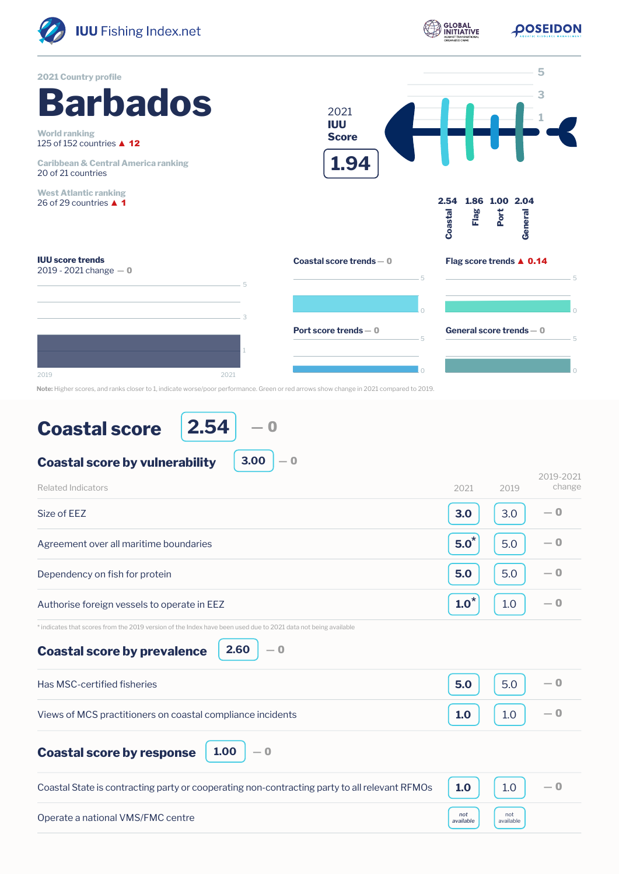

**Note:** Higher scores, and ranks closer to 1, indicate worse/poor performance. Green or red arrows show change in 2021 compared to 2019.

## **Coastal score**

**2.54** ― 0

**3.00**

― 0

## **Coastal score by vulnerability**

| <b>Related Indicators</b>                                                                                                                                            | 2021             | 2019             | 2019-2021<br>change |
|----------------------------------------------------------------------------------------------------------------------------------------------------------------------|------------------|------------------|---------------------|
| Size of EEZ                                                                                                                                                          | 3.0              | 3.0              | $-0$                |
| Agreement over all maritime boundaries                                                                                                                               | $5.0^*$          | 5.0              | $-0$                |
| Dependency on fish for protein                                                                                                                                       | 5.0              | 5.0              | $-0$                |
| Authorise foreign vessels to operate in EEZ                                                                                                                          | $1.0^*$          | 1.0              | $-0$                |
| * indicates that scores from the 2019 version of the Index have been used due to 2021 data not being available<br>2.60<br>$-0$<br><b>Coastal score by prevalence</b> |                  |                  |                     |
| Has MSC-certified fisheries                                                                                                                                          | 5.0              | 5.0              | $-0$                |
| Views of MCS practitioners on coastal compliance incidents                                                                                                           | 1.0              | 1.0              | $-0$                |
| 1.00<br>$-0$<br><b>Coastal score by response</b>                                                                                                                     |                  |                  |                     |
| Coastal State is contracting party or cooperating non-contracting party to all relevant RFMOs                                                                        | 1.0              | 1.0              | $-0$                |
| Operate a national VMS/FMC centre                                                                                                                                    | not<br>available | not<br>available |                     |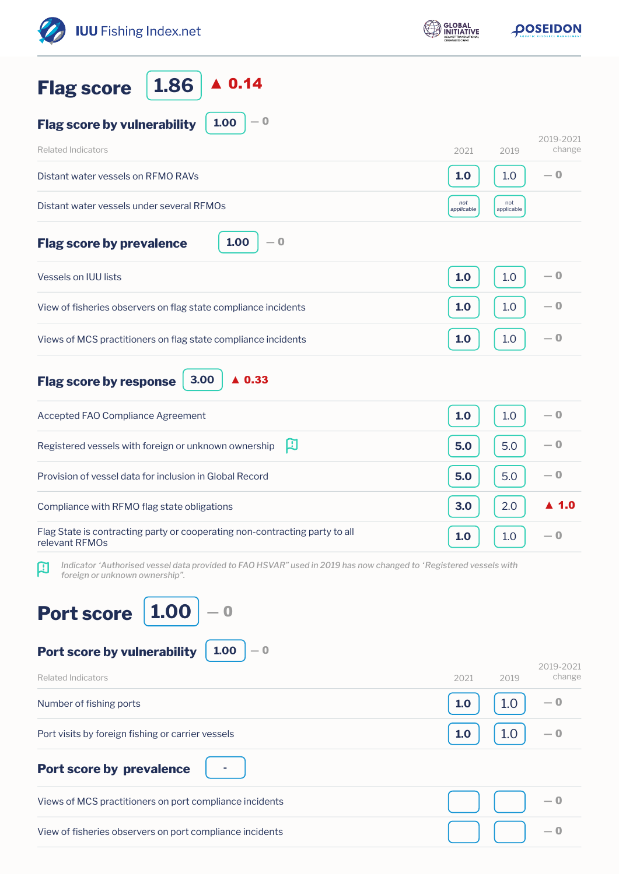| <b>IUU</b> Fishing Index.net                                                                                                                             | <b>GLOBAL</b>     | <b>OOSEIDON</b>             |  |
|----------------------------------------------------------------------------------------------------------------------------------------------------------|-------------------|-----------------------------|--|
| $\blacktriangle$ 0.14<br>1.86<br><b>Flag score</b>                                                                                                       |                   |                             |  |
| $-0$<br>1.00<br><b>Flag score by vulnerability</b>                                                                                                       |                   |                             |  |
| <b>Related Indicators</b>                                                                                                                                | 2021              | 2019-2021<br>change<br>2019 |  |
| Distant water vessels on RFMO RAVs                                                                                                                       | 1.0               | $-0$<br>1.0                 |  |
| Distant water vessels under several RFMOs                                                                                                                | not<br>applicable | not<br>applicable           |  |
| 1.00<br>$-0$<br><b>Flag score by prevalence</b>                                                                                                          |                   |                             |  |
| <b>Vessels on IUU lists</b>                                                                                                                              | 1.0               | $-0$<br>1.0                 |  |
| View of fisheries observers on flag state compliance incidents                                                                                           | 1.0               | $-0$<br>1.0                 |  |
| Views of MCS practitioners on flag state compliance incidents                                                                                            | 1.0               | $-0$<br>1.0                 |  |
| 3.00<br>$\triangle$ 0.33<br><b>Flag score by response</b>                                                                                                |                   |                             |  |
| Accepted FAO Compliance Agreement                                                                                                                        | 1.0               | $-0$<br>1.0                 |  |
| 口<br>Registered vessels with foreign or unknown ownership                                                                                                | 5.0               | $-0$<br>5.0                 |  |
| Provision of vessel data for inclusion in Global Record                                                                                                  | 5.0               | — 0<br>5.0                  |  |
| Compliance with RFMO flag state obligations                                                                                                              | 3.0               | $\blacktriangle$ 1.0<br>2.0 |  |
| Flag State is contracting party or cooperating non-contracting party to all<br>relevant RFMOs                                                            | 1.0               | $-0$<br>1.0                 |  |
| Indicator 'Authorised vessel data provided to FAO HSVAR" used in 2019 has now changed to 'Registered vessels with<br>口<br>foreign or unknown ownership". |                   |                             |  |
| 1.00<br><b>Port score</b><br>1.00<br>Port score by vulnerability<br>— 0                                                                                  |                   |                             |  |
| <b>Related Indicators</b>                                                                                                                                | 2021              | 2019-2021<br>change<br>2019 |  |
| Number of fishing ports                                                                                                                                  | 1.0               | 1.0<br>— 0                  |  |
| Port visits by foreign fishing or carrier vessels                                                                                                        | 1.0               | 1.0<br>— 0                  |  |
| <b>Port score by prevalence</b>                                                                                                                          |                   |                             |  |
| Views of MCS practitioners on port compliance incidents                                                                                                  |                   | — 0                         |  |
| View of fisheries observers on port compliance incidents                                                                                                 |                   | $-0$                        |  |